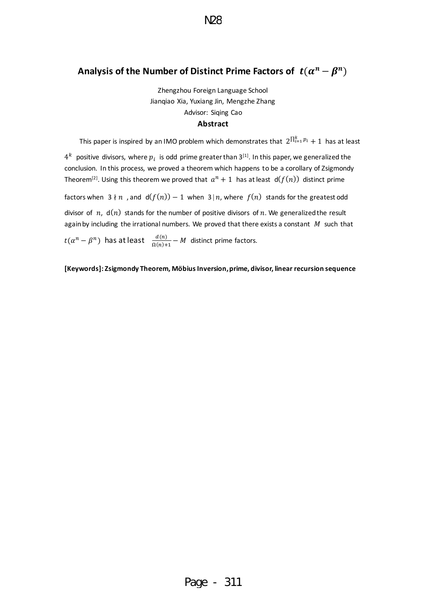# <span id="page-0-0"></span>Analysis of the Number of Distinct Prime Factors of  $\;t(\alpha^n-\beta^n)\;$

N28

Zhengzhou Foreign Language School Jianqiao Xia, Yuxiang Jin, Mengzhe Zhang Advisor: Siqing Cao **Abstract**

This paper is inspired by an IMO problem which demonstrates that  $2^{\prod_{i=1}^{k} p_i} + 1$  has at least

 $4^k$  positive divisors, where  $p_i$  is odd prime greater than 3<sup>[1]</sup>. In this paper, we generalized the conclusion. In this process, we proved a theorem which happens to be a corollary of Zsigmondy Theorem<sup>[2]</sup>. Using this theorem we proved that  $a^n + 1$  has at least  $d(f(n))$  distinct prime

factors when  $3 \nmid n$ , and  $d(f(n)) - 1$  when  $3 \nmid n$ , where  $f(n)$  stands for the greatest odd divisor of n,  $d(n)$  stands for the number of positive divisors of n. We generalized the result again by including the irrational numbers. We proved that there exists a constant  $M$  such that

 $t(\alpha^n-\beta^n)$  has at least  $\frac{d(n)}{\Omega(n)+1}-M$  distinct prime factors.

**[Keywords]: Zsigmondy Theorem, Möbius Inversion, prime, divisor, linear recursion sequence**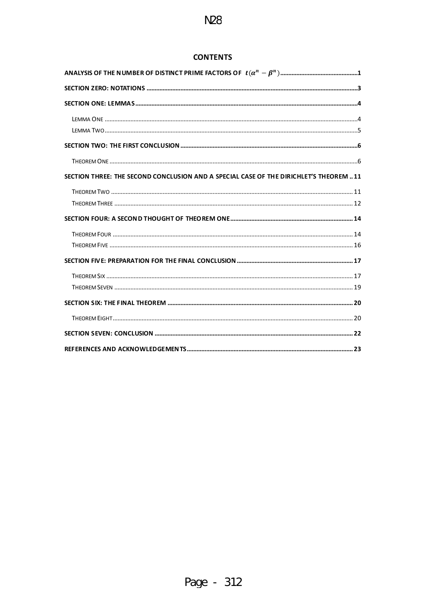# **CONTENTS**

| SECTION THREE: THE SECOND CONCLUSION AND A SPECIAL CASE OF THE DIRICHLET'S THEOREM  11 |  |
|----------------------------------------------------------------------------------------|--|
|                                                                                        |  |
|                                                                                        |  |
|                                                                                        |  |
|                                                                                        |  |
|                                                                                        |  |
|                                                                                        |  |
|                                                                                        |  |
|                                                                                        |  |
|                                                                                        |  |
|                                                                                        |  |
|                                                                                        |  |
|                                                                                        |  |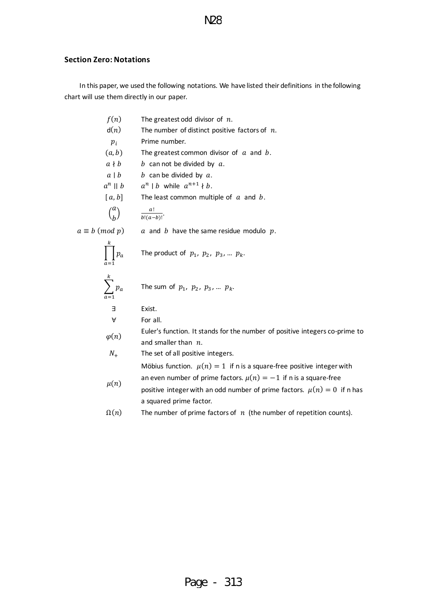## <span id="page-2-0"></span>**Section Zero: Notations**

In this paper, we used the following notations. We have listed their definitions in the following chart will use them directly in our paper.

| f(n)                  | The greatest odd divisor of $n$ .                                                                     |
|-----------------------|-------------------------------------------------------------------------------------------------------|
| d(n)                  | The number of distinct positive factors of $n$ .                                                      |
| $p_i$                 | Prime number.                                                                                         |
| (a,b)                 | The greatest common divisor of $a$ and $b$ .                                                          |
| $a \nmid b$           | b can not be divided by $a$ .                                                                         |
| $a \mid b$            | b can be divided by $a$ .                                                                             |
| $a^n \parallel b$     | $a^n \mid b$ while $a^{n+1} \nmid b$ .                                                                |
| [a, b]                | The least common multiple of $a$ and $b$ .                                                            |
| $\binom{a}{b}$        | $\frac{a!}{b!(a-b)!}$                                                                                 |
| $a \equiv b \pmod{p}$ | $a$ and $b$ have the same residue modulo $p$ .                                                        |
| $p_a$                 | The product of $p_1$ , $p_2$ , $p_3$ , $p_k$ .                                                        |
| $\sum^k p_a$          | The sum of $p_1$ , $p_2$ , $p_3$ , $p_k$ .                                                            |
| Е                     | Exist.                                                                                                |
| A                     | For all.                                                                                              |
| $\varphi(n)$          | Euler's function. It stands for the number of positive integers co-prime to<br>and smaller than $n$ . |
| $N_{+}$               | The set of all positive integers.                                                                     |
|                       | Möbius function. $\mu(n) = 1$ if n is a square-free positive integer with                             |
| $\mu(n)$              | an even number of prime factors. $\mu(n) = -1$ if n is a square-free                                  |
|                       | positive integer with an odd number of prime factors. $\mu(n) = 0$ if n has                           |
|                       | a squared prime factor.                                                                               |
| $\Omega(n)$           | The number of prime factors of $n$ (the number of repetition counts).                                 |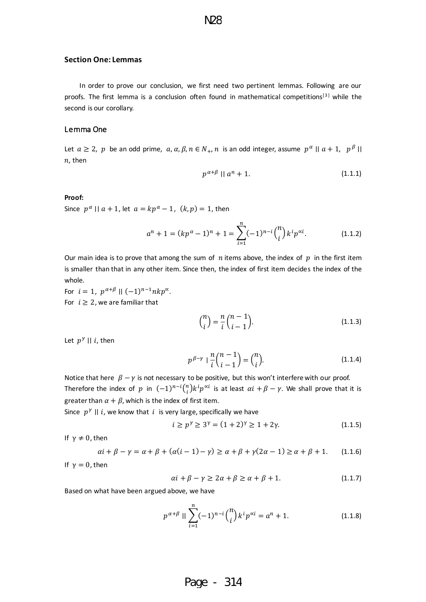#### <span id="page-3-0"></span>**Section One: Lemmas**

In order to prove our conclusion, we first need two pertinent lemmas. Following are our proofs. The first lemma is a conclusion often found in mathematical competitions<sup>[3]</sup> while the second is our corollary.

### <span id="page-3-1"></span>Lemma One

Let  $a \ge 2$ ,  $p$  be an odd prime,  $a, \alpha, \beta, n \in N_+$ ,  $n$  is an odd integer, assume  $|p^{\alpha}| \mid a+1$ ,  $|p^{\beta}| \mid$  $n$ , then

$$
p^{\alpha+\beta} \parallel a^n + 1. \tag{1.1.1}
$$

#### **Proof:**

Since  $p^{\alpha}$  ||  $a + 1$ , let  $a = kp^{\alpha} - 1$ ,  $(k, p) = 1$ , then

$$
a^{n} + 1 = (kp^{\alpha} - 1)^{n} + 1 = \sum_{i=1}^{n} (-1)^{n-i} {n \choose i} k^{i} p^{\alpha i}.
$$
 (1.1.2)

Our main idea is to prove that among the sum of  $n$  items above, the index of  $p$  in the first item is smaller than that in any other item. Since then, the index of first item decides the index of the whole.

For  $i = 1$ ,  $p^{\alpha+\beta} \mid |(-1)^{n-1}nkp^{\alpha}$ . For  $i \geq 2$ , we are familiar that

$$
\binom{n}{i} = \frac{n}{i} \binom{n-1}{i-1}.
$$
\n(1.1.3)

Let  $p^{\gamma}$  || i, then

$$
p^{\beta-\gamma} \mid \frac{n}{i} \binom{n-1}{i-1} = \binom{n}{i}.
$$
 (1.1.4)

Notice that here  $\beta - \gamma$  is not necessary to be positive, but this won't interfere with our proof. Therefore the index of  $p$  in  $(-1)^{n-i}\binom{n}{i}$  $\sum_{i=1}^{n} k^i p^{\alpha i}$  is at least  $\alpha i + \beta - \gamma$ . We shall prove that it is greater than  $\alpha + \beta$ , which is the index of first item.

Since  $|p^{\gamma}|$  || i, we know that i is very large, specifically we have

$$
i \ge p^{\gamma} \ge 3^{\gamma} = (1+2)^{\gamma} \ge 1 + 2\gamma. \tag{1.1.5}
$$

If  $\gamma \neq 0$ , then

$$
\alpha i + \beta - \gamma = \alpha + \beta + (\alpha(i - 1) - \gamma) \ge \alpha + \beta + \gamma(2\alpha - 1) \ge \alpha + \beta + 1. \tag{1.1.6}
$$

If  $\gamma = 0$ , then

$$
\alpha i + \beta - \gamma \ge 2\alpha + \beta \ge \alpha + \beta + 1. \tag{1.1.7}
$$

Based on what have been argued above, we have

$$
p^{\alpha+\beta} \parallel \sum_{i=1}^{n} (-1)^{n-i} \binom{n}{i} k^i p^{\alpha i} = a^n + 1. \tag{1.1.8}
$$

# Page - 314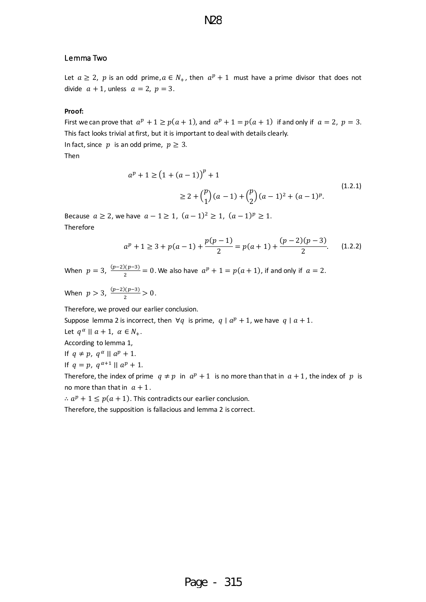### <span id="page-4-0"></span>Lemma Two

Let  $a \ge 2$ , p is an odd prime,  $a \in N_+$ , then  $a^p + 1$  must have a prime divisor that does not divide  $a + 1$ , unless  $a = 2$ ,  $p = 3$ .

N28

#### **Proof:**

First we can prove that  $a^p + 1 \ge p(a + 1)$ , and  $a^p + 1 = p(a + 1)$  if and only if  $a = 2$ ,  $p = 3$ . This fact looks trivial at first, but it is important to deal with details clearly. In fact, since  $p$  is an odd prime,  $p \geq 3$ .

Then

$$
a^{p} + 1 \ge (1 + (a - 1))^{p} + 1
$$
  
 
$$
\ge 2 + {p \choose 1}(a - 1) + {p \choose 2}(a - 1)^{2} + (a - 1)^{p}.
$$
 (1.2.1)

Because *a* ≥ 2, we have *a* − 1 ≥ 1,  $(a-1)^2 \ge 1$ ,  $(a-1)^p \ge 1$ . Therefore

$$
a^{p} + 1 \ge 3 + p(a - 1) + \frac{p(p - 1)}{2} = p(a + 1) + \frac{(p - 2)(p - 3)}{2}.
$$
 (1.2.2)

When  $p = 3$ ,  $\frac{(p-2)(p-3)}{2}$  $\frac{2p(2p-3)}{2}$  = 0. We also have  $a^p + 1 = p(a+1)$ , if and only if  $a = 2$ .

When  $p > 3$ ,  $\frac{(p-2)(p-3)}{2}$  $\frac{1(p-3)}{2} > 0$ .

Therefore, we proved our earlier conclusion.

Suppose lemma 2 is incorrect, then  $\forall q$  is prime,  $q | a^p + 1$ , we have  $q | a + 1$ .

Let  $q^{\alpha} \mid a+1, \alpha \in N_+.$ 

According to lemma 1,

If  $q \neq p$ ,  $q^{\alpha}$  ||  $a^p + 1$ .

$$
If q = p, q^{\alpha+1} || a^p + 1.
$$

Therefore, the index of prime  $q \neq p$  in  $a^p + 1$  is no more than that in  $a + 1$ , the index of p is no more than that in  $a + 1$ .

 $\therefore$   $a^p + 1 \leq p(a + 1)$ . This contradicts our earlier conclusion.

Therefore, the supposition is fallacious and lemma 2 is correct.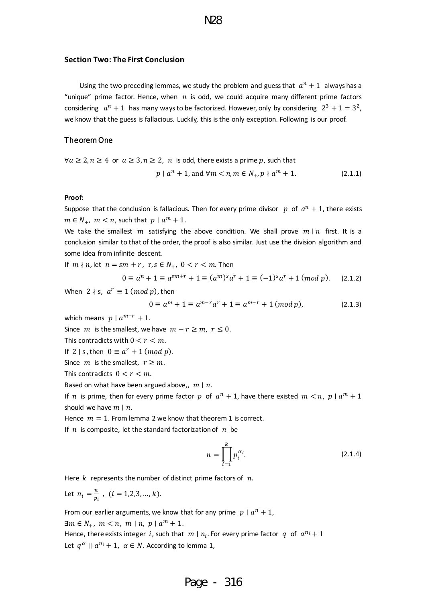#### <span id="page-5-0"></span>**Section Two: The First Conclusion**

Using the two preceding lemmas, we study the problem and guess that  $a^n + 1$  always has a "unique" prime factor. Hence, when  $n$  is odd, we could acquire many different prime factors considering  $a^n + 1$  has many ways to be factorized. However, only by considering  $2^3 + 1 = 3^2$ , we know that the guess is fallacious. Luckily, this is the only exception. Following is our proof.

#### <span id="page-5-1"></span>Theorem One

$$
\forall a \ge 2, n \ge 4 \text{ or } a \ge 3, n \ge 2, n \text{ is odd, there exists a prime } p \text{, such that}
$$
\n
$$
p \mid a^n + 1, \text{ and } \forall m < n, m \in N_+, p \nmid a^m + 1. \tag{2.1.1}
$$

#### **Proof:**

Suppose that the conclusion is fallacious. Then for every prime divisor  $p$  of  $a^n + 1$ , there exists  $m \in N_+$ ,  $m < n$ , such that  $p \mid a^m + 1$ .

We take the smallest  $m$  satisfying the above condition. We shall prove  $m \mid n$  first. It is a conclusion similar to that of the order, the proof is also similar. Just use the division algorithm and some idea from infinite descent.

If  $m \nmid n$ , let  $n = sm + r$ ,  $r, s \in N_+$ ,  $0 < r < m$ . Then

$$
0 \equiv a^{n} + 1 \equiv a^{sm+r} + 1 \equiv (a^{m})^{s} a^{r} + 1 \equiv (-1)^{s} a^{r} + 1 \pmod{p}.
$$
 (2.1.2)

When  $2 \nmid s, a^r \equiv 1 \pmod{p}$ , then

$$
0 \equiv a^{m} + 1 \equiv a^{m-r}a^{r} + 1 \equiv a^{m-r} + 1 \ (mod \ p), \tag{2.1.3}
$$

which means  $p | a^{m-r} + 1$ .

Since *m* is the smallest, we have  $m - r \ge m$ ,  $r \le 0$ .

This contradicts with  $0 < r < m$ .

If 2 | s, then  $0 \equiv a^r + 1 \pmod{p}$ .

Since *m* is the smallest,  $r \ge m$ .

This contradicts  $0 < r < m$ .

Based on what have been argued above,,  $m \mid n$ .

If *n* is prime, then for every prime factor  $p$  of  $a^n + 1$ , have there existed  $m < n$ ,  $p \mid a^m + 1$ should we have  $m \mid n$ .

Hence  $m = 1$ . From lemma 2 we know that theorem 1 is correct.

If  $n$  is composite, let the standard factorization of  $n$  be

$$
n = \prod_{i=1}^{k} p_i^{\alpha_i}.
$$
 (2.1.4)

Here  $k$  represents the number of distinct prime factors of  $n$ .

Let  $n_i = \frac{n}{n}$  $\frac{n}{p_i}$ ,  $(i = 1, 2, 3, ..., k).$ 

From our earlier arguments, we know that for any prime  $p | a^n + 1$ ,

 $\exists m \in N_+, m < n, m \mid n, p \mid a^m + 1.$ 

Hence, there exists integer i, such that  $m \mid n_i$ . For every prime factor  $q$  of  $a^{n_i} + 1$ Let  $q^{\alpha}$  ||  $a^{n_i} + 1$ ,  $\alpha \in N$ . According to lemma 1,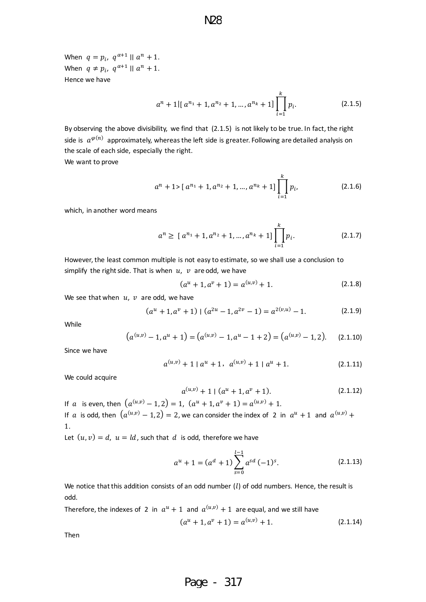When  $q = p_i$ ,  $q^{\alpha+1} \mid |a^n + 1|$ . When  $q \neq p_i$ ,  $q^{\alpha+1} \mid |a^n + 1|$ . Hence we have

$$
a^{n} + 1 \left[ a^{n_{1}} + 1, a^{n_{2}} + 1, \ldots, a^{n_{k}} + 1 \right] \prod_{i=1}^{k} p_{i}.
$$
 (2.1.5)

By observing the above divisibility, we find that (2.1.5) is not likely to be true. In fact, the right side is  $a^{\varphi(n)}$  approximately, whereas the left side is greater. Following are detailed analysis on the scale of each side, especially the right.

We want to prove

$$
a^{n} + 1 > [ a^{n_1} + 1, a^{n_2} + 1, ..., a^{n_k} + 1 ] \prod_{i=1}^{k} p_i,
$$
 (2.1.6)

which, in another word means

$$
a^{n} \geq [a^{n_1} + 1, a^{n_2} + 1, ..., a^{n_k} + 1] \prod_{i=1}^{k} p_i.
$$
 (2.1.7)

However, the least common multiple is not easy to estimate, so we shall use a conclusion to simplify the right side. That is when  $u$ ,  $v$  are odd, we have

$$
(au + 1, av + 1) = a(u,v) + 1.
$$
 (2.1.8)

We see that when  $u, v$  are odd, we have

$$
(au + 1, av + 1) | (a2u - 1, a2v - 1) = a2(v,u) - 1.
$$
 (2.1.9)

While

$$
(a^{(u,v)} - 1, a^u + 1) = (a^{(u,v)} - 1, a^u - 1 + 2) = (a^{(u,v)} - 1, 2).
$$
 (2.1.10)

Since we have

$$
a^{(u,v)} + 1 | a^u + 1, a^{(u,v)} + 1 | a^u + 1.
$$
 (2.1.11)

We could acquire

$$
a^{(u,v)} + 1 \mid (a^u + 1, a^v + 1). \tag{2.1.12}
$$

If a is even, then  $(a^{(u,v)} - 1, 2) = 1$ ,  $(a^u + 1, a^v + 1) = a^{(u,v)} + 1$ . If  $a$  is odd, then  $(a^{(u,v)} - 1,2) = 2$ , we can consider the index of 2 in  $a^u + 1$  and  $a^{(u,v)} +$ 1.

Let  $(u, v) = d$ ,  $u = ld$ , such that d is odd, therefore we have

$$
a^{u} + 1 = (a^{d} + 1) \sum_{s=0}^{l-1} a^{sd} (-1)^{s}.
$$
 (2.1.13)

We notice that this addition consists of an odd number  $(l)$  of odd numbers. Hence, the result is odd.

Therefore, the indexes of 2 in  $a^u + 1$  and  $a^{(u,v)} + 1$  are equal, and we still have

$$
(au + 1, av + 1) = a(u,v) + 1.
$$
 (2.1.14)

Then

Page - 317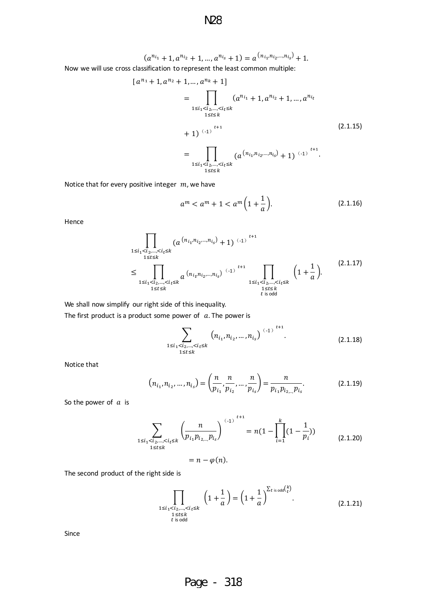N28

 $(a^{n_{i_1}}+1, a^{n_{i_2}}+1, ..., a^{n_{i_s}}+1) = a^{(n_{i_1}, n_{i_2}, ..., n_{i_s})}+1.$ Now we will use cross classification to represent the least common multiple:

$$
[a^{n_1} + 1, a^{n_2} + 1, ..., a^{n_k} + 1]
$$
  
= 
$$
\prod_{\substack{1 \le i_1 < i_2, ..., < i_t \le k \\ 1 \le t \le k}} (a^{n_{i_1}} + 1, a^{n_{i_2}} + 1, ..., a^{n_{i_t}}
$$
  
+ 1) <sup>(-1)</sup><sup>*t+1*</sup>  
= 
$$
\prod_{\substack{1 \le i_1 < i_2, ..., < i_t \le k \\ 1 \le t \le k}} (a^{(n_{i_1}, n_{i_2}, ..., n_{i_s})} + 1) {(-1)}^{t+1}.
$$
 (2.1.15)

Notice that for every positive integer  $m$ , we have

$$
a^{m} < a^{m} + 1 < a^{m} \left( 1 + \frac{1}{a} \right). \tag{2.1.16}
$$

Hence

$$
\prod_{\substack{1 \le i_1 < i_2, \dots, < i_t \le k \\ 1 \le t \le k}} (a^{(n_{i_1}, n_{i_2}, \dots, n_{i_s})} + 1)^{(-1)} \prod_{\substack{1 \le i_1 < i_2, \dots, < i_t \le k \\ 1 \le i_1 < i_2, \dots, < i_t \le k}} (a^{(n_{i_1}, n_{i_2}, \dots, n_{i_s})} + 1)^{(-1)} \prod_{\substack{1 \le i_1 < i_2, \dots, < i_t \le k \\ 1 \le t \le k \\ 1 \le t \le k}} \left( 1 + \frac{1}{a} \right). \tag{2.1.17}
$$

We shall now simplify our right side of this inequality.

The first product is a product some power of  $a$ . The power is

$$
\sum_{\substack{1 \le i_1 < i_2, \dots, < i_\ell \le k \\ 1 \le t \le k}} \left( n_{i_1}, n_{i_2}, \dots, n_{i_s} \right) \xrightarrow{(-1)}^{t+1} . \tag{2.1.18}
$$

Notice that

$$
(n_{i_1}, n_{i_2}, \dots, n_{i_s}) = \left(\frac{n}{p_{i_1}}, \frac{n}{p_{i_2}}, \dots, \frac{n}{p_{i_s}}\right) = \frac{n}{p_{i_1}p_{i_{2,\dots}}p_{i_s}}.
$$
(2.1.19)

So the power of  $a$  is

$$
\sum_{\substack{1 \le i_1 < i_2, \dots, < i_\ell \le k \\ 1 \le t \le k}} \left( \frac{n}{p_{i_1} p_{i_2 \dots} p_{i_s}} \right)^{(-1)^{t+1}} = n(1 - \prod_{i=1}^k (1 - \frac{1}{p_i}))
$$
\n
$$
= n - \varphi(n).
$$
\n(2.1.20)

The second product of the right side is

$$
\prod_{\substack{1 \le i_1 < i_2, \dots, < i_\ell \le k \\ 1 \le t \le k \\ t \text{ is odd}}} \left( 1 + \frac{1}{a} \right) = \left( 1 + \frac{1}{a} \right)^{\sum_{t \text{ is odd}} {k \choose t}}.
$$
\n(2.1.21)

Since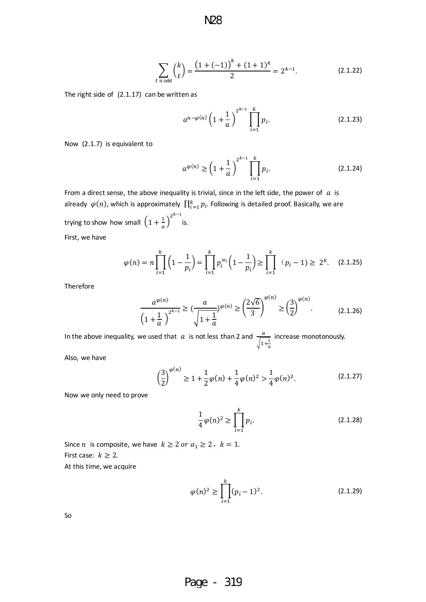$$
\sum_{t \text{ is odd}} {k \choose t} = \frac{\left(1 + (-1)\right)^k + (1 + 1)^k}{2} = 2^{k-1}.
$$
 (2.1.22)

The right side of (2.1.17) can be written as

$$
a^{n-\varphi(n)}\left(1+\frac{1}{a}\right)^{2^{k-1}}\prod_{i=1}^{k}p_{i}.
$$
 (2.1.23)

Now (2.1.7) is equivalent to

$$
a^{\varphi(n)} \ge \left(1 + \frac{1}{a}\right)^{2^{k-1}} \prod_{i=1}^{k} p_i.
$$
 (2.1.24)

From a direct sense, the above inequality is trivial, since in the left side, the power of  $\alpha$  is already  $\,\varphi(n)$ , which is approximately  $\, \prod_{i=1}^k p_i \,$  Following is detailed proof. Basically, we are trying to show how small  $\left(1+\frac{1}{a}\right)^{2^{k-1}}$ is.

First, we have

$$
\varphi(n) = n \prod_{i=1}^{k} \left( 1 - \frac{1}{p_i} \right) = \prod_{i=1}^{k} p_i^{\alpha_i} \left( 1 - \frac{1}{p_i} \right) \ge \prod_{i=1}^{k} \left( p_i - 1 \right) \ge 2^k. \tag{2.1.25}
$$

Therefore

$$
\frac{a^{\varphi(n)}}{\left(1+\frac{1}{a}\right)^{2^{k-1}}} \ge \left(\frac{a}{\sqrt{1+\frac{1}{a}}}\right)^{\varphi(n)} \ge \left(\frac{2\sqrt{6}}{3}\right)^{\varphi(n)} \ge \left(\frac{3}{2}\right)^{\varphi(n)}.\tag{2.1.26}
$$

In the above inequality, we used that  $\alpha$  is not less than 2 and  $\frac{a}{\sqrt{1+\frac{1}{a}}}$ increase monotonously.

Also, we have

$$
\left(\frac{3}{2}\right)^{\varphi(n)} \ge 1 + \frac{1}{2}\varphi(n) + \frac{1}{4}\varphi(n)^2 > \frac{1}{4}\varphi(n)^2.
$$
 (2.1.27)

Now we only need to prove

$$
\frac{1}{4}\varphi(n)^2 \ge \prod_{i=1}^k p_i.
$$
\n(2.1.28)

Since *n* is composite, we have  $k \ge 2$  or  $\alpha_1 \ge 2$ ,  $k = 1$ . First case:  $k \geq 2$ . At this time, we acquire

$$
\varphi(n)^2 \ge \prod_{i=1}^k (p_i - 1)^2.
$$
\n(2.1.29)

So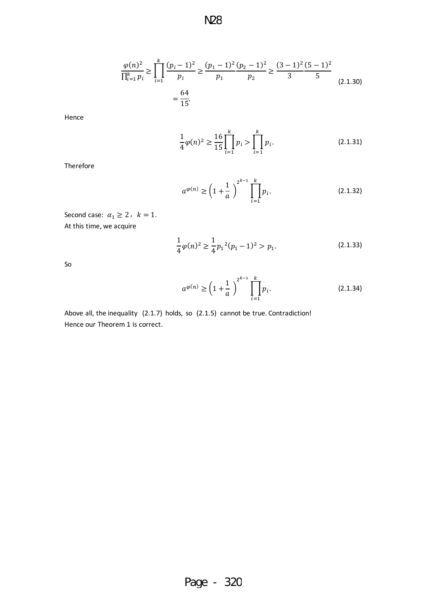$$
\frac{\varphi(n)^2}{\prod_{i=1}^k p_i} \ge \prod_{i=1}^k \frac{(p_i - 1)^2}{p_i} \ge \frac{(p_1 - 1)^2 (p_2 - 1)^2}{p_1 p_2} \ge \frac{(3 - 1)^2 (5 - 1)^2}{3 5}
$$
\n
$$
= \frac{64}{15}.
$$
\n(2.1.30)

Hence

$$
\frac{1}{4}\varphi(n)^2 \ge \frac{16}{15} \prod_{i=1}^k p_i > \prod_{i=1}^k p_i.
$$
\n(2.1.31)

Therefore

$$
a^{\varphi(n)} \ge \left(1 + \frac{1}{a}\right)^{2^{k-1}} \prod_{i=1}^{k} p_i.
$$
 (2.1.32)

Second case:  $\alpha_1 \geq 2$ ,  $k = 1$ . At this time, we acquire

$$
\frac{1}{4}\varphi(n)^2 \ge \frac{1}{4}p_1^2(p_1 - 1)^2 > p_1.
$$
\n(2.1.33)

So

$$
a^{\varphi(n)} \ge \left(1 + \frac{1}{a}\right)^{2^{k-1}} \prod_{i=1}^{k} p_i.
$$
 (2.1.34)

Above all, the inequality (2.1.7) holds, so (2.1.5) cannot be true. Contradiction! Hence our Theorem 1 is correct.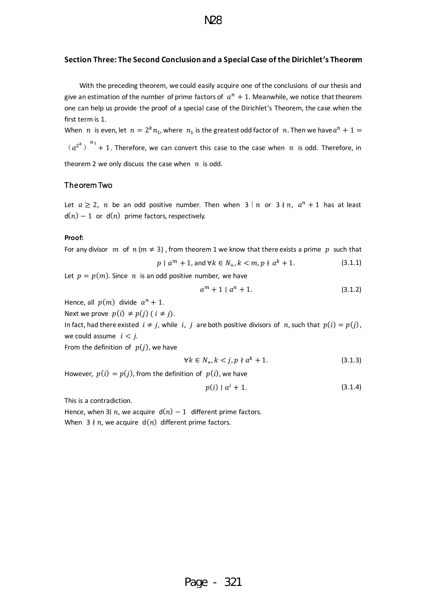### <span id="page-10-0"></span>**Section Three: The Second Conclusion and a Special Case of the Dirichlet's Theorem**

With the preceding theorem, we could easily acquire one of the conclusions of our thesis and give an estimation of the number of prime factors of  $a^n + 1$ . Meanwhile, we notice that theorem one can help us provide the proof of a special case of the Dirichlet's Theorem, the case when the first term is 1.

When  $n$  is even, let  $n = 2^k n_1$ , where  $n_1$  is the greatest odd factor of  $n$ . Then we have  $a^n + 1 =$  $(a^{2^k})^{n_1}+1$ . Therefore, we can convert this case to the case when  $n$  is odd. Therefore, in theorem 2 we only discuss the case when  $n$  is odd.

### <span id="page-10-1"></span>Theorem Two

Let  $a \ge 2$ , n be an odd positive number. Then when  $3 \nmid n$  or  $3 \nmid n$ ,  $a^n + 1$  has at least  $d(n) - 1$  or  $d(n)$  prime factors, respectively.

#### **Proof:**

For any divisor  $m$  of  $n ( m \neq 3)$ , from theorem 1 we know that there exists a prime p such that

$$
p \mid a^m + 1, \text{ and } \forall k \in N_+, k < m, p \nmid a^k + 1. \tag{3.1.1}
$$

Let  $p = p(m)$ . Since *n* is an odd positive number, we have

$$
a^m + 1 \mid a^n + 1. \tag{3.1.2}
$$

Hence, all  $p(m)$  divide  $a^n + 1$ .

Next we prove  $p(i) \neq p(j)$  (  $i \neq j$ ).

In fact, had there existed  $i \neq j$ , while i, j are both positive divisors of n, such that  $p(i) = p(j)$ , we could assume  $i < j$ .

From the definition of  $p(j)$ , we have

$$
\forall k \in N_+, k < j, p \nmid a^k + 1. \tag{3.1.3}
$$

However,  $p(i) = p(j)$ , from the definition of  $p(i)$ , we have

$$
p(i) | a^{i} + 1.
$$
 (3.1.4)

This is a contradiction.

Hence, when 3 $\mid n$ , we acquire  $d(n) - 1$  different prime factors. When  $3 \nmid n$ , we acquire  $d(n)$  different prime factors.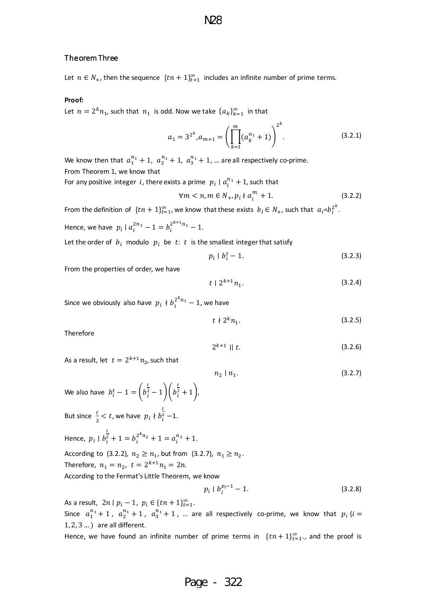#### <span id="page-11-0"></span>Theorem Three

Let  $n \in N_+$ , then the sequence  $\{tn+1\}_{t=1}^{\infty}$  includes an infinite number of prime terms.

#### **Proof:**

Let  $n = 2^k n_1$ , such that  $n_1$  is odd. Now we take  $\{a_k\}_{k=1}^{\infty}$  in that

$$
a_1 = 3^{2^k}, a_{m+1} = \left(\prod_{k=1}^m (a_k^{n_k} + 1)\right)^{2^k}.
$$
 (3.2.1)

We know then that  $a_1^{n_1} + 1$ ,  $a_2^{n_1} + 1$ ,  $a_3^{n_1} + 1$ , ... are all respectively co-prime. From Theorem 1, we know that

For any positive integer i, there exists a prime  $|p_i| | a_i^{n_1} + 1$ , such that

$$
\forall m < n, m \in N_+, p_i \nmid a_i^m + 1. \tag{3.2.2}
$$

From the definition of  $\{tn+1\}_{t=1}^{\infty}$ , we know that these exists  $b_i \in N_+$ , such that  $a_i = b_i^{2^k}$ .

Hence, we have  $p_i | a_i^{2n_1} - 1 = b_i^{2^{k+1}n_1} - 1$ .

Let the order of  $b_i$  modulo  $p_i$  be  $t: t$  is the smallest integer that satisfy

$$
p_i \mid b_i^t - 1. \tag{3.2.3}
$$

From the properties of order, we have

$$
t \mid 2^{k+1}n_1. \tag{3.2.4}
$$

Since we obviously also have  $p_i \nmid b_i^{2^kn_1} - 1$ , we have

$$
t \nmid 2^k n_1. \tag{3.2.5}
$$

Therefore

$$
2^{k+1} \parallel t. \tag{3.2.6}
$$

As a result, let  $t = 2^{k+1}n_{2}$ , such that

$$
n_2 \mid n_1. \tag{3.2.7}
$$

We also have  $b_i^t-1 = \left(b_i^{\tfrac{t}{2}}-1\right) \left(b_i^{\tfrac{t}{2}}+1\right)$ But since  $\frac{t}{2} < t$ , we have  $p_i \nmid b_i^{\frac{1}{2}}$ t  $\frac{2}{i}$  –1. Hence,  $p_i \mid b_i^2$ t  $\frac{2}{i} + 1 = b_i^{2^{k}n_2} + 1 = a_i^{n_2} + 1.$ According to (3.2.2),  $n_2 \ge n_1$ , but from (3.2.7),  $n_1 \ge n_2$ . Therefore,  $n_1 = n_2$ ,  $t = 2^{k+1}n_1 = 2n$ . According to the Fermat's Little Theorem, we know  $p_i | b_i^{p_i - 1} - 1.$  (3.2.8)

As a result,  $2n | p_i - 1, p_i \in \{tn + 1\}_{t=1}^{\infty}$ . Since  $a_1^{n_1}+1$ ,  $a_2^{n_1}+1$ ,  $a_3^{n_1}+1$ , ... are all respectively co-prime, we know that  $p_i$  ( $i=$ 1, 2, 3 … ) are all different.

Hence, we have found an infinite number of prime terms in  $\{tn+1\}_{t=1}^{\infty}$ , and the proof is

# Page - 322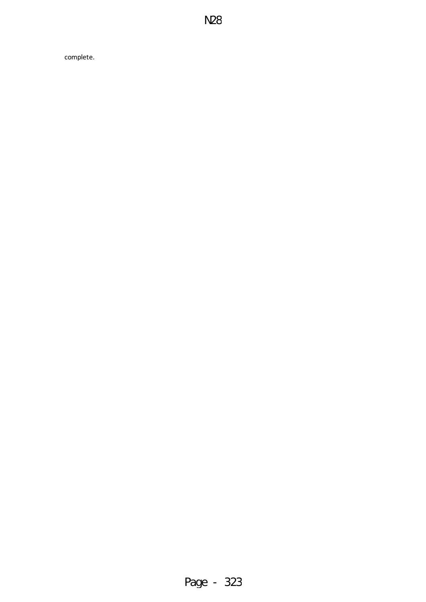complete.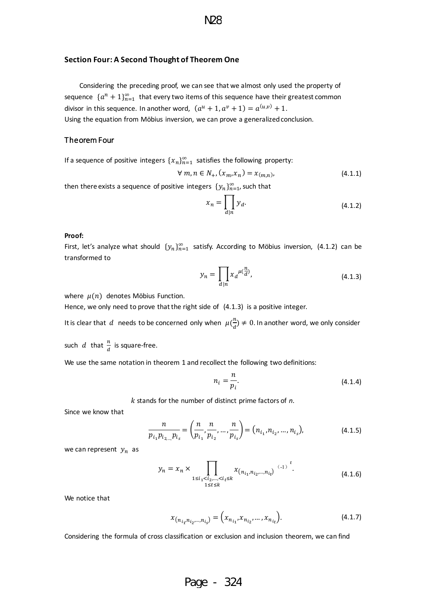#### <span id="page-13-0"></span>**Section Four: A Second Thought of Theorem One**

Considering the preceding proof, we can see that we almost only used the property of sequence  $\{a^n+1\}_{n=1}^{\infty}$  that every two items of this sequence have their greatest common divisor in this sequence. In another word,  $(a^u + 1, a^v + 1) = a^{(u,v)} + 1$ . Using the equation from Möbius inversion, we can prove a generalized conclusion.

#### <span id="page-13-1"></span>Theorem Four

If a sequence of positive integers  $\{x_n\}_{n=1}^\infty$  satisfies the following property:

$$
\forall m, n \in N_+, (x_m, x_n) = x_{(m,n)}, \tag{4.1.1}
$$

then there exists a sequence of positive integers  $\{y_n\}_{n=1}^{\infty}$ , such that

$$
x_n = \prod_{d|n} y_d.
$$
 (4.1.2)

#### **Proof:**

First, let's analyze what should  ${y_n}_{n=1}^{\infty}$  satisfy. According to Möbius inversion, (4.1.2) can be transformed to

$$
y_n = \prod_{d|n} x_d^{\mu(\frac{n}{d})},\tag{4.1.3}
$$

where  $\mu(n)$  denotes Möbius Function.

Hence, we only need to prove that the right side of (4.1.3) is a positive integer.

It is clear that  $d$  needs to be concerned only when  $\mu(\frac{n}{d}) \neq 0$ . In another word, we only consider

such d that  $\frac{n}{d}$  is square-free.

We use the same notation in theorem 1 and recollect the following two definitions:

$$
n_i = \frac{n}{p_i}.\tag{4.1.4}
$$

stands for the number of distinct prime factors of *n*.

Since we know that

$$
\frac{n}{p_{i_1}p_{i_2\ldots p_{i_s}}} = \left(\frac{n}{p_{i_1}}, \frac{n}{p_{i_2}}, \ldots, \frac{n}{p_{i_s}}\right) = \left(n_{i_1}, n_{i_2}, \ldots, n_{i_s}\right),\tag{4.1.5}
$$

we can represent  $y_n$  as

$$
y_n = x_n \times \prod_{\substack{1 \le i_1 < i_2, \dots, < i_t \le k \\ 1 \le t \le k}} x_{(n_{i_1}, n_{i_2}, \dots, n_{i_t})} \xrightarrow{(-1)}^t.
$$
\n(4.1.6)

We notice that

$$
x_{(n_{i_1}n_{i_2},...,n_{i_s})} = (x_{n_{i_1}}, x_{n_{i_2}},...,x_{n_{i_t}}). \tag{4.1.7}
$$

Considering the formula of cross classification or exclusion and inclusion theorem, we can find

# Page - 324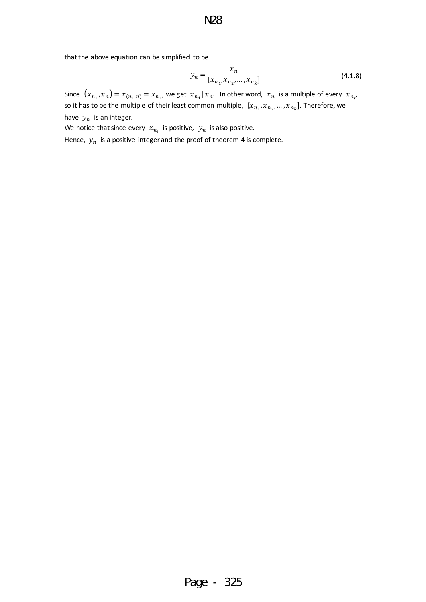that the above equation can be simplified to be

$$
y_n = \frac{x_n}{[x_{n_1}, x_{n_2}, \dots, x_{n_k}]}.
$$
\n(4.1.8)

Since  $(x_{n_1},x_n)=x_{(n_1,n)}=x_{n_1}$ , we get  $x_{n_1}|x_n$ . In other word,  $x_n$  is a multiple of every  $x_{n_{i'}}$ so it has to be the multiple of their least common multiple,  $[x_{n_1}, x_{n_2},..., x_{n_k}]$ . Therefore, we have  $y_n$  is an integer.

We notice that since every  $x_{n_i}$  is positive,  $y_n$  is also positive.

Hence,  $y_n$  is a positive integer and the proof of theorem 4 is complete.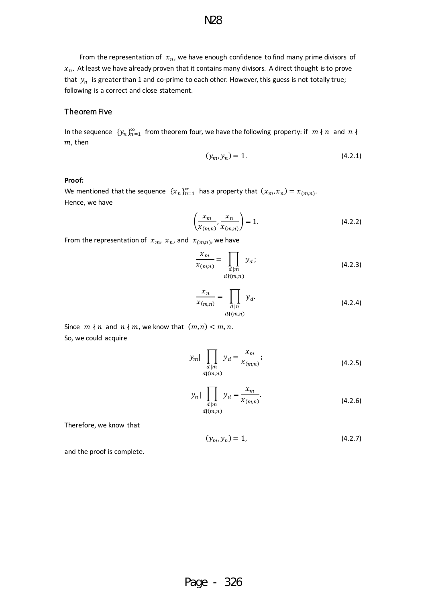From the representation of  $x_n$ , we have enough confidence to find many prime divisors of  $x_n$ . At least we have already proven that it contains many divisors. A direct thought is to prove that  $y_n$  is greater than 1 and co-prime to each other. However, this guess is not totally true; following is a correct and close statement.

#### <span id="page-15-0"></span>Theorem Five

In the sequence  $\{y_n\}_{n=1}^{\infty}$  from theorem four, we have the following property: if  $m \nmid n$  and  $n \nmid$  $m$ , then

$$
(y_m, y_n) = 1. \t\t(4.2.1)
$$

#### **Proof:**

We mentioned that the sequence  $\{x_n\}_{n=1}^{\infty}$  has a property that  $(x_m, x_n) = x_{(m,n)}$ . Hence, we have

$$
\left(\frac{x_m}{x_{(m,n)}}, \frac{x_n}{x_{(m,n)}}\right) = 1.
$$
\n(4.2.2)

From the representation of  $x_m$ ,  $x_n$ , and  $x_{(m,n)}$ , we have

$$
\frac{x_m}{x_{(m,n)}} = \prod_{\substack{d \mid m \\ d \nmid (m,n)}} y_d \tag{4.2.3}
$$

$$
\frac{x_n}{x_{(m,n)}} = \prod_{\substack{d|n\\d \nmid (m,n)}} y_d.
$$
\n(4.2.4)

Since  $m \nmid n$  and  $n \nmid m$ , we know that  $(m, n) < m, n$ . So, we could acquire

$$
y_m \left| \prod_{\substack{d \mid m \\ d \nmid (m,n)}} y_d = \frac{x_m}{x_{(m,n)}}; \right. \tag{4.2.5}
$$

$$
y_n \left| \prod_{\substack{d \mid m \\ d \nmid (m,n)}} y_d = \frac{x_m}{x_{(m,n)}}.
$$
\n(4.2.6)

Therefore, we know that

$$
(y_m, y_n) = 1,\t(4.2.7)
$$

and the proof is complete.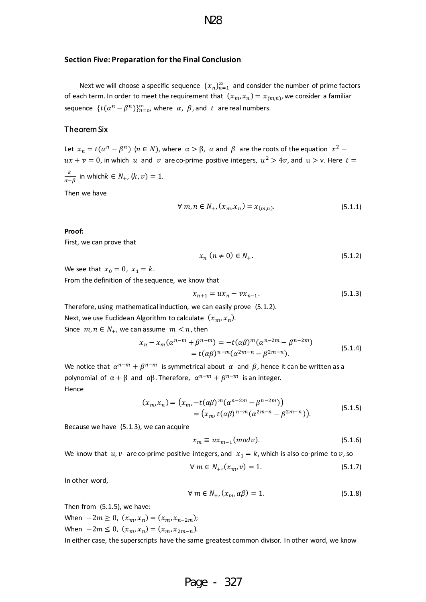#### <span id="page-16-0"></span>**Section Five: Preparation for the Final Conclusion**

Next we will choose a specific sequence  $\{x_n\}_{n=1}^{\infty}$  and consider the number of prime factors of each term. In order to meet the requirement that  $(x_m, x_n) = x_{(m,n)}$ , we consider a familiar sequence  $\{t(\alpha^n - \beta^n)\}_{n=0}^{\infty}$ , where  $\alpha$ ,  $\beta$ , and  $t$  are real numbers.

### <span id="page-16-1"></span>Theorem Six

Let  $x_n = t(\alpha^n - \beta^n)$   $(n \in N)$ , where  $\alpha > \beta$ ,  $\alpha$  and  $\beta$  are the roots of the equation  $x^2$  –  $ux + v = 0$ , in which u and v are co-prime positive integers,  $u^2 > 4v$ , and  $u > v$ . Here  $t =$ 

 $\frac{k}{\alpha-\beta}$  in which $k \in N_+$ ,  $(k, v) = 1$ .

Then we have

$$
\forall m, n \in N_+, (x_m, x_n) = x_{(m,n)}.\tag{5.1.1}
$$

#### **Proof:**

First, we can prove that

$$
x_n \ (n \neq 0) \in N_+.\tag{5.1.2}
$$

We see that  $x_0 = 0$ ,  $x_1 = k$ . From the definition of the sequence, we know that

$$
x_{n+1} = ux_n - vx_{n-1}.\tag{5.1.3}
$$

Therefore, using mathematical induction, we can easily prove (5.1.2).

Next, we use Euclidean Algorithm to calculate  $(x_m, x_n)$ .

Since  $m, n \in N_+$ , we can assume  $m < n$ , then

$$
x_n - x_m(\alpha^{n-m} + \beta^{n-m}) = -t(\alpha\beta)^m(\alpha^{n-2m} - \beta^{n-2m})
$$
  
=  $t(\alpha\beta)^{n-m}(\alpha^{2m-n} - \beta^{2m-n}).$  (5.1.4)

We notice that  $\alpha^{n-m}+\beta^{n-m}$  is symmetrical about  $\alpha$  and  $\beta$ , hence it can be written as a polynomial of  $\alpha + \beta$  and α $\beta$ . Therefore,  $\alpha^{n-m} + \beta^{n-m}$  is an integer. Hence

$$
(x_m, x_n) = (x_m, -t(\alpha \beta)^m (\alpha^{n-2m} - \beta^{n-2m}))
$$
  
=  $(x_m, t(\alpha \beta)^{n-m} (\alpha^{2m-n} - \beta^{2m-n})).$  (5.1.5)

Because we have (5.1.3), we can acquire

$$
x_m \equiv ux_{m-1}(modv). \tag{5.1.6}
$$

We know that  $u, v$  are co-prime positive integers, and  $x_1 = k$ , which is also co-prime to  $v$ , so

$$
\forall m \in N_+, (x_m, v) = 1. \tag{5.1.7}
$$

In other word,

$$
\forall m \in N_+,(x_m, \alpha \beta) = 1. \tag{5.1.8}
$$

Then from (5.1.5), we have:

When  $-2m \ge 0$ ,  $(x_m, x_n) = (x_m, x_{n-2m});$ When  $-2m \le 0$ ,  $(x_m, x_n) = (x_m, x_{2m-n})$ .

In either case, the superscripts have the same greatest common divisor. In other word, we know

# Page - 327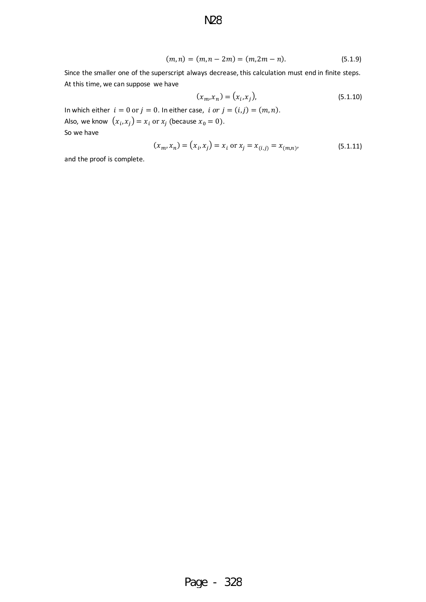$$
(m,n) = (m,n-2m) = (m,2m-n). \tag{5.1.9}
$$

Since the smaller one of the superscript always decrease, this calculation must end in finite steps. At this time, we can suppose we have

N28

$$
(x_m, x_n) = (x_i, x_j),
$$
\n(5.1.10)

In which either  $i = 0$  or  $j = 0$ . In either case,  $i$  or  $j = (i, j) = (m, n)$ . Also, we know  $(x_i, x_j) = x_i$  or  $x_j$  (because  $x_0 = 0$ ). So we have

$$
(x_m, x_n) = (x_i, x_j) = x_i \text{ or } x_j = x_{(i,j)} = x_{(m,n)},
$$
\n(5.1.11)

and the proof is complete.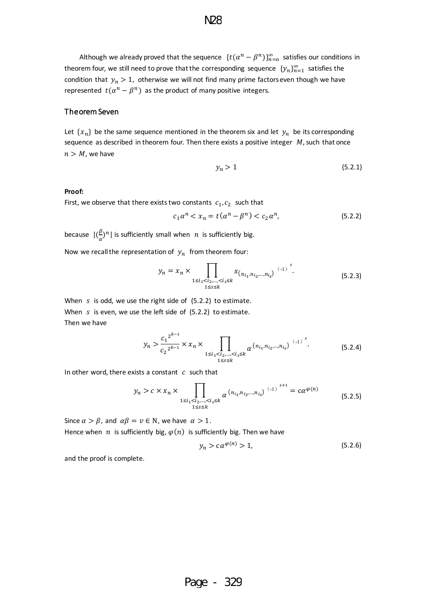Although we already proved that the sequence  $\{t(\alpha^n - \beta^n)\}_{n=0}^{\infty}$  satisfies our conditions in theorem four, we still need to prove that the corresponding sequence  $\{y_n\}_{n=1}^\infty$  satisfies the condition that  $y_n > 1$ , otherwise we will not find many prime factors even though we have represented  $t(\alpha^n - \beta^n)$  as the product of many positive integers.

#### <span id="page-18-0"></span>Theorem Seven

Let  $\{x_n\}$  be the same sequence mentioned in the theorem six and let  $y_n$  be its corresponding sequence as described in theorem four. Then there exists a positive integer  $M$ , such that once  $n > M$ , we have

$$
y_n > 1 \tag{5.2.1}
$$

#### **Proof:**

First, we observe that there exists two constants  $c_1, c_2$  such that

$$
c_1 \alpha^n < x_n = t(\alpha^n - \beta^n) < c_2 \alpha^n,\tag{5.2.2}
$$

because  $|(\frac{\beta}{\alpha})^n|$  is sufficiently small when  $|n|$  is sufficiently big.

Now we recall the representation of  $y_n$  from theorem four:

$$
y_n = x_n \times \prod_{\substack{1 \le i_1 < i_2, \dots, < i_s \le k \\ 1 \le s \le k}} x_{(n_{i_1}, n_{i_2}, \dots, n_{i_s})} \xrightarrow{(-1)}^s.
$$
\n(5.2.3)

When  $s$  is odd, we use the right side of  $(5.2.2)$  to estimate. When  $s$  is even, we use the left side of  $(5.2.2)$  to estimate. Then we have

$$
y_n > \frac{{c_1}^{2^{k-1}}}{c_2^{2^{k-1}}} \times x_n \times \prod_{\substack{1 \le i_1 < i_2, \dots, < i_s \le k \\ 1 \le s \le k}} \alpha^{\left(n_{i_1}, n_{i_2}, \dots, n_{i_s}\right)} \xrightarrow{\left(-1\right)}^s. \tag{5.2.4}
$$

In other word, there exists a constant  $c$  such that

$$
y_n > c \times x_n \times \prod_{\substack{1 \le i_1 < i_2, \dots, < i_s \le k}} \alpha^{\left(n_{i_1}, n_{i_2}, \dots, n_{i_s}\right)} \xrightarrow{(-1)}^{s+1} = c\alpha^{\varphi(n)} \tag{5.2.5}
$$

Since  $\alpha > \beta$ , and  $\alpha\beta = \nu \in \mathbb{N}$ , we have  $\alpha > 1$ . Hence when  $n$  is sufficiently big,  $\varphi(n)$  is sufficiently big. Then we have

$$
y_n > c\alpha^{\varphi(n)} > 1,\tag{5.2.6}
$$

and the proof is complete.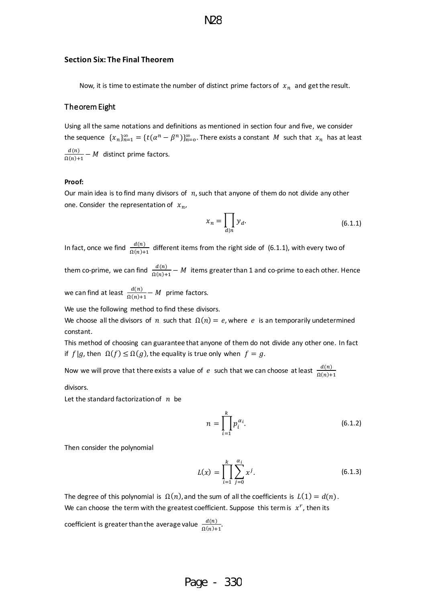#### <span id="page-19-0"></span>**Section Six: The Final Theorem**

Now, it is time to estimate the number of distinct prime factors of  $x_n$  and get the result.

### <span id="page-19-1"></span>Theorem Eight

Using all the same notations and definitions as mentioned in section four and five, we consider the sequence  $\{x_n\}_{n=1}^\infty=\{t(\alpha^n-\beta^n)\}_{n=0}^\infty$ . There exists a constant  $M$  such that  $x_n$  has at least  $d(n)$  $\frac{u(n)}{\Omega(n)+1} - M$  distinct prime factors.

#### **Proof:**

Our main idea is to find many divisors of  $n$ , such that anyone of them do not divide any other one. Consider the representation of  $x_n$ ,

$$
x_n = \prod_{d|n} y_d.
$$
 (6.1.1)

In fact, once we find  $\frac{d(n)}{\Omega(n)+1}$  different items from the right side of  $(6.1.1)$ , with every two of

them co-prime, we can find  $\frac{d(n)}{\Omega(n)+1}-M$  items greater than 1 and co-prime to each other. Hence

we can find at least  $\frac{d(n)}{\Omega(n)+1} - M$  prime factors.

We use the following method to find these divisors.

We choose all the divisors of *n* such that  $\Omega(n) = e$ , where *e* is an temporarily undetermined constant.

This method of choosing can guarantee that anyone of them do not divide any other one. In fact if  $f | g$ , then  $\Omega(f) \leq \Omega(g)$ , the equality is true only when  $f = g$ .

Now we will prove that there exists a value of  $|e|$  such that we can choose at least  $\frac{d(n)}{\Omega(n)+1}$ 

divisors.

Let the standard factorization of  $n$  be

$$
n = \prod_{i=1}^{k} p_i^{\alpha_i}.
$$
 (6.1.2)

Then consider the polynomial

$$
L(x) = \prod_{i=1}^{k} \sum_{j=0}^{\alpha_i} x^j.
$$
 (6.1.3)

The degree of this polynomial is  $\Omega(n)$ , and the sum of all the coefficients is  $L(1) = d(n)$ . We can choose the term with the greatest coefficient. Suppose this term is  $x^r$ , then its

coefficient is greater than the average value  $\frac{d(n)}{\Omega(n)+1}$ .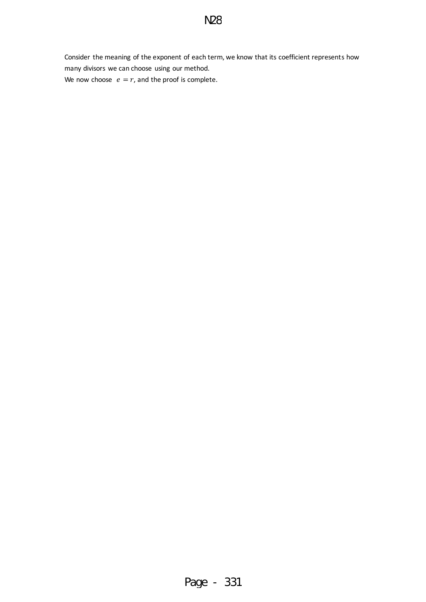Consider the meaning of the exponent of each term, we know that its coefficient represents how many divisors we can choose using our method. We now choose  $e = r$ , and the proof is complete.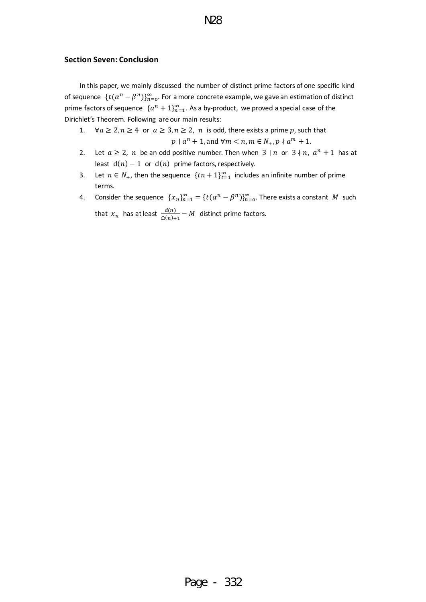### <span id="page-21-0"></span>**Section Seven: Conclusion**

In this paper, we mainly discussed the number of distinct prime factors of one specific kind of sequence  $\{t(\alpha^n - \beta^n)\}_{n=0}^{\infty}$ . For a more concrete example, we gave an estimation of distinct prime factors of sequence  $\{a^n+1\}_{n=1}^{\infty}$ . As a by-product, we proved a special case of the Dirichlet's Theorem. Following are our main results:

- 1.  $\forall a \geq 2, n \geq 4$  or  $a \geq 3, n \geq 2, n$  is odd, there exists a prime p, such that  $p \mid a^n + 1$ , and  $\forall m < n, m \in N_+, p \nmid a^m + 1$ .
- 2. Let  $a \ge 2$ , n be an odd positive number. Then when  $3 \mid n$  or  $3 \nmid n$ ,  $a^n + 1$  has at least  $d(n) - 1$  or  $d(n)$  prime factors, respectively.
- 3. Let  $n \in N_+$ , then the sequence  $\{tn+1\}_{t=1}^{\infty}$  includes an infinite number of prime terms.
- 4. Consider the sequence  $\{x_n\}_{n=1}^{\infty} = \{t(\alpha^n \beta^n)\}_{n=0}^{\infty}$ . There exists a constant M such that  $x_n$  has at least  $\frac{d(n)}{\Omega(n)+1} - M$  distinct prime factors.